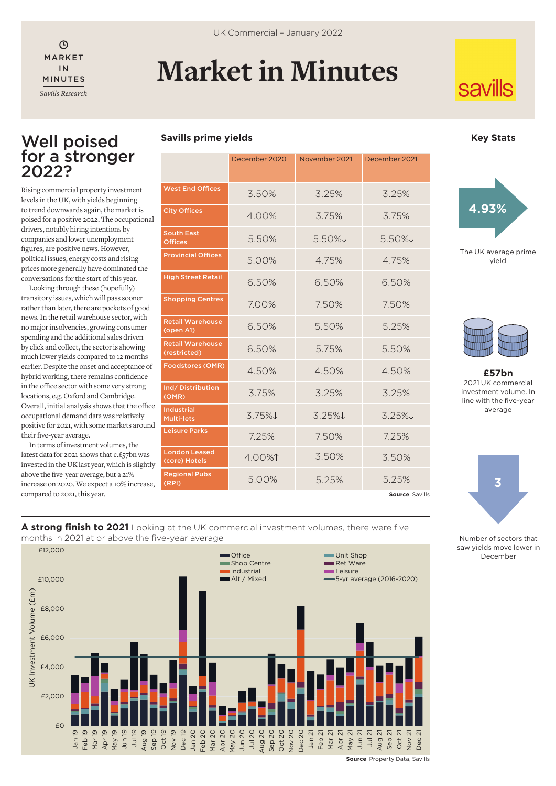$\odot$ IN MINUTES *Savills Research*

# MARKET **Market in Minutes**

# **savills**

# Well poised for a stronger 2022?

Rising commercial property investment levels in the UK, with yields beginning to trend downwards again, the market is poised for a positive 2022. The occupational drivers, notably hiring intentions by companies and lower unemployment figures, are positive news. However, political issues, energy costs and rising prices more generally have dominated the conversations for the start of this year.

Looking through these (hopefully) transitory issues, which will pass sooner rather than later, there are pockets of good news. In the retail warehouse sector, with no major insolvencies, growing consumer spending and the additional sales driven by click and collect, the sector is showing much lower yields compared to 12 months earlier. Despite the onset and acceptance of hybrid working, there remains confidence in the office sector with some very strong locations, e.g. Oxford and Cambridge. Overall, initial analysis shows that the office occupational demand data was relatively positive for 2021, with some markets around their five-year average.

In terms of investment volumes, the latest data for 2021 shows that c.£57bn was invested in the UK last year, which is slightly above the five-year average, but a 21% increase on 2020. We expect a 10% increase, compared to 2021, this year.

| <b>Savills prime yields</b> |  |  |
|-----------------------------|--|--|
|-----------------------------|--|--|

| <b>West End Offices</b>                 | 3.50%    | 3.25%    | 3.25%    |
|-----------------------------------------|----------|----------|----------|
| <b>City Offices</b>                     | 4.00%    | 3.75%    | 3.75%    |
| <b>South East</b><br><b>Offices</b>     | 5.50%    | 5.50%↓   | $5.50\%$ |
| <b>Provincial Offices</b>               | 5.00%    | 4.75%    | 4.75%    |
| <b>High Street Retail</b>               | 6.50%    | 6.50%    | 6.50%    |
| <b>Shopping Centres</b>                 | 7.00%    | 7.50%    | 7.50%    |
| <b>Retail Warehouse</b><br>(open A1)    | 6.50%    | 5.50%    | 5.25%    |
| <b>Retail Warehouse</b><br>(restricted) | 6.50%    | 5.75%    | 5.50%    |
| <b>Foodstores (OMR)</b>                 | 4.50%    | 4.50%    | 4.50%    |
| Ind/Distribution<br>(OMR)               | 3.75%    | 3.25%    | 3.25%    |
| <b>Industrial</b><br><b>Multi-lets</b>  | $3.75\%$ | $3.25\%$ | $3.25\%$ |
| <b>Leisure Parks</b>                    | 7.25%    | 7.50%    | 7.25%    |
| <b>London Leased</b><br>(core) Hotels   | $4.00\%$ | 3.50%    | 3.50%    |
| <b>Regional Pubs</b><br>(RPI)           | 5.00%    | 5.25%    | 5.25%    |

#### **Key Stats**





**£57bn** 2021 UK commercial investment volume. In line with the five-year average



Number of sectors that saw yields move lower in December





**Source** Property Data, Savills